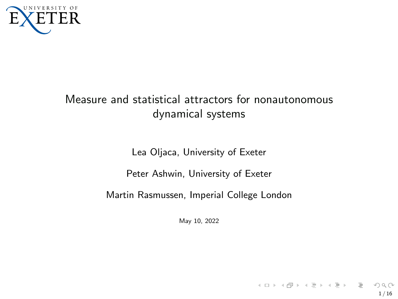<span id="page-0-0"></span>

# Measure and statistical attractors for nonautonomous dynamical systems

Lea Oljaca, University of Exeter

Peter Ashwin, University of Exeter

Martin Rasmussen, Imperial College London

May 10, 2022

1 / 16

 $\mathcal{A} \otimes \mathcal{B} \rightarrow \mathcal{A} \otimes \mathcal{B} \rightarrow \mathcal{A} \otimes \mathcal{B} \rightarrow \mathcal{B} \otimes \mathcal{B} \rightarrow \mathcal{B} \otimes \mathcal{B}$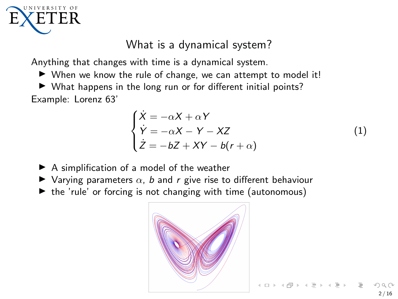

# What is a dynamical system?

Anything that changes with time is a dynamical system.

- ▶ When we know the rule of change, we can attempt to model it!
- $\triangleright$  What happens in the long run or for different initial points? Example: Lorenz 63'

$$
\begin{cases}\n\dot{X} = -\alpha X + \alpha Y \\
\dot{Y} = -\alpha X - Y - XZ \\
\dot{Z} = -bZ + XY - b(r + \alpha)\n\end{cases}
$$
\n(1)

- $\blacktriangleright$  A simplification of a model of the weather
- $\blacktriangleright$  Varying parameters  $\alpha$ , b and r give rise to different behaviour
- ▶ the 'rule' or forcing is not changing with time (autonomous)

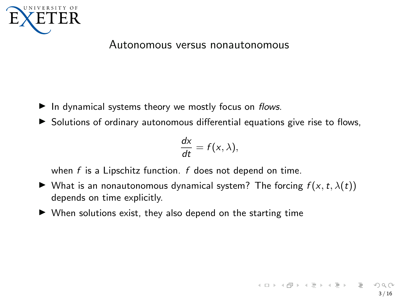

#### Autonomous versus nonautonomous

- ▶ In dynamical systems theory we mostly focus on flows.
- ▶ Solutions of ordinary autonomous differential equations give rise to flows,

$$
\frac{dx}{dt}=f(x,\lambda),
$$

when  $f$  is a Lipschitz function.  $f$  does not depend on time.

- $\blacktriangleright$  What is an nonautonomous dynamical system? The forcing  $f(x, t, \lambda(t))$ depends on time explicitly.
- $\triangleright$  When solutions exist, they also depend on the starting time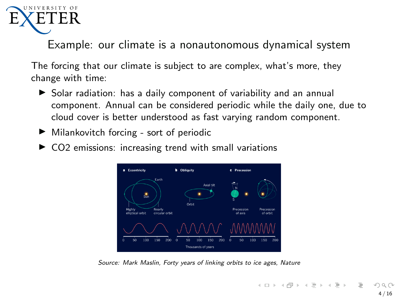

Example: our climate is a nonautonomous dynamical system

The forcing that our climate is subject to are complex, what's more, they change with time:

- ▶ Solar radiation: has a daily component of variability and an annual component. Annual can be considered periodic while the daily one, due to cloud cover is better understood as fast varying random component.
- ▶ Milankovitch forcing sort of periodic
- $\triangleright$  CO2 emissions: increasing trend with small variations



Source: Mark Maslin, Forty years of linking orbits to ice ages, Nature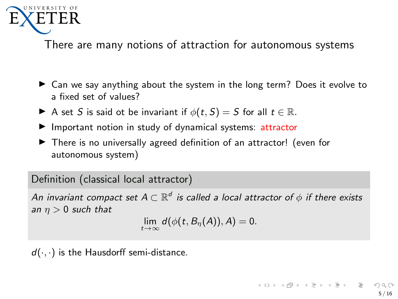

There are many notions of attraction for autonomous systems

- ▶ Can we say anything about the system in the long term? Does it evolve to a fixed set of values?
- A set S is said ot be invariant if  $\phi(t, S) = S$  for all  $t \in \mathbb{R}$ .
- ▶ Important notion in study of dynamical systems: attractor
- ▶ There is no universally agreed definition of an attractor! (even for autonomous system)

Definition (classical local attractor)

An invariant compact set  $A\subset \mathbb{R}^d$  is called a local attractor of  $\phi$  if there exists an  $\eta > 0$  such that

 $\lim_{t\to\infty} d(\phi(t, B_{\eta}(A)), A) = 0.$ 

 $d(\cdot, \cdot)$  is the Hausdorff semi-distance.

 $\mathcal{A} \ \Box \ \rightarrow \ \mathcal{A} \ \overline{\mathcal{B}} \ \rightarrow \ \mathcal{A} \ \overline{\mathcal{B}} \ \rightarrow \ \mathcal{A} \ \overline{\mathcal{B}} \ \rightarrow \quad \overline{\mathcal{B}}$ 5 / 16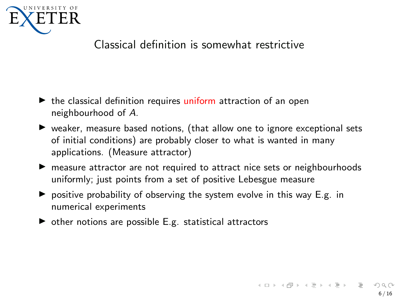

# Classical definition is somewhat restrictive

- $\blacktriangleright$  the classical definition requires uniform attraction of an open neighbourhood of A.
- ▶ weaker, measure based notions, (that allow one to ignore exceptional sets of initial conditions) are probably closer to what is wanted in many applications. (Measure attractor)
- ▶ measure attractor are not required to attract nice sets or neighbourhoods uniformly; just points from a set of positive Lebesgue measure
- $\triangleright$  positive probability of observing the system evolve in this way E.g. in numerical experiments
- $\triangleright$  other notions are possible E.g. statistical attractors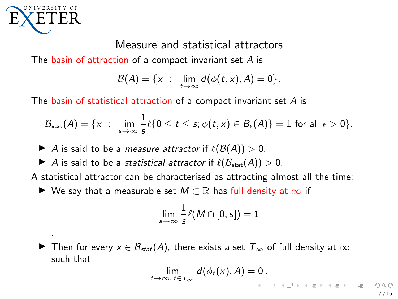

.

## Measure and statistical attractors

The basin of attraction of a compact invariant set  $A$  is

$$
\mathcal{B}(A)=\{x: \ \lim_{t\to\infty}d(\phi(t,x),A)=0\}.
$$

The basin of statistical attraction of a compact invariant set A is

$$
\mathcal{B}_{\text{stat}}(A) = \{x \; : \; \lim_{s \to \infty} \frac{1}{s} \ell \{0 \leq t \leq s; \phi(t,x) \in B_{\epsilon}(A)\} = 1 \text{ for all } \epsilon > 0\}.
$$

- A is said to be a *measure attractor* if  $\ell(\mathcal{B}(A)) > 0$ .
- A is said to be a *statistical attractor* if  $\ell(\mathcal{B}_{stat}(A)) > 0$ .

A statistical attractor can be characterised as attracting almost all the time:

▶ We say that a measurable set  $M \subset \mathbb{R}$  has full density at  $\infty$  if

$$
\lim_{s\to\infty}\frac{1}{s}\ell(M\cap[0,s])=1
$$

▶ Then for every  $x \in \mathcal{B}_{stat}(A)$ , there exists a set  $\mathcal{T}_{\infty}$  of full density at  $\infty$ such that

$$
\lim_{t\to\infty,\ t\in\mathcal{T}_{\infty}}d(\phi_t(x),A)=0\,.
$$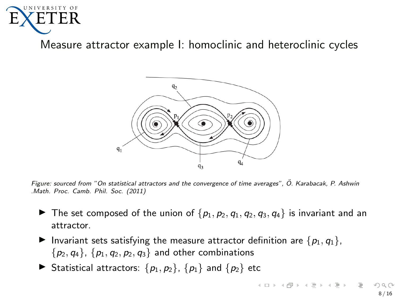

Measure attractor example I: homoclinic and heteroclinic cycles



Figure: sourced from "On statistical attractors and the convergence of time averages", O. Karabacak, P. Ashwin ¨ .Math. Proc. Camb. Phil. Soc. (2011)

- ▶ The set composed of the union of  $\{p_1, p_2, q_1, q_2, q_3, q_4\}$  is invariant and an attractor.
- Invariant sets satisfying the measure attractor definition are  $\{p_1, q_1\}$ ,  ${p_2, q_4}, {p_1, q_2, p_2, q_3}$  and other combinations
- ▶ Statistical attractors:  $\{p_1, p_2\}$ ,  $\{p_1\}$  and  $\{p_2\}$  etc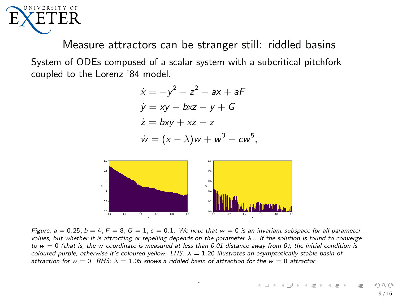

Measure attractors can be stranger still: riddled basins System of ODEs composed of a scalar system with a subcritical pitchfork coupled to the Lorenz '84 model.

$$
\dot{x} = -y^2 - z^2 - ax + aF
$$
  
\n
$$
\dot{y} = xy - bxz - y + G
$$
  
\n
$$
\dot{z} = bxy + xz - z
$$
  
\n
$$
\dot{w} = (x - \lambda)w + w^3 - cw^5,
$$



Figure:  $a = 0.25$ ,  $b = 4$ ,  $F = 8$ ,  $G = 1$ ,  $c = 0.1$ . We note that  $w = 0$  is an invariant subspace for all parameter values, but whether it is attracting or repelling depends on the parameter  $\lambda$ .. If the solution is found to converge to  $w = 0$  (that is, the w coordinate is measured at less than 0.01 distance away from 0), the initial condition is coloured purple, otherwise it's coloured yellow. LHS:  $\lambda = 1.20$  illustrates an asymptotically stable basin of attraction for  $w = 0$ . RHS:  $\lambda = 1.05$  shows a riddled basin of attraction for the  $w = 0$  attractor

.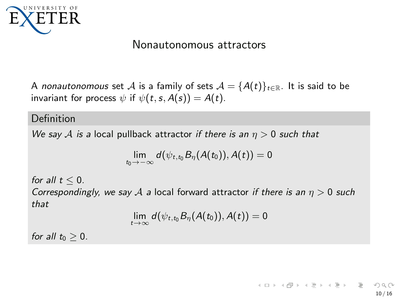<span id="page-9-0"></span>

### Nonautonomous attractors

A nonautonomous set A is a family of sets  $A = \{A(t)\}_{t \in \mathbb{R}}$ . It is said to be invariant for process  $\psi$  if  $\psi(t, s, A(s)) = A(t)$ .

#### Definition

We say A is a local pullback attractor if there is an  $\eta > 0$  such that

$$
\lim_{t_0\to-\infty}d(\psi_{t,t_0}B_\eta(A(t_0)),A(t))=0
$$

for all  $t < 0$ .

Correspondingly, we say A a local forward attractor if there is an  $\eta > 0$  such that

$$
\lim_{t\to\infty}d(\psi_{t,t_0}B_\eta(A(t_0)),A(t))=0
$$

for all  $t_0 > 0$ .

 $\mathcal{A} \subseteq \mathcal{A} \Rightarrow \mathcal{A} \subseteq \mathcal{B} \Rightarrow \mathcal{A} \subseteq \mathcal{B} \Rightarrow \mathcal{A} \subseteq \mathcal{B} \Rightarrow \mathcal{B} \subseteq \mathcal{B}$ 10 / 16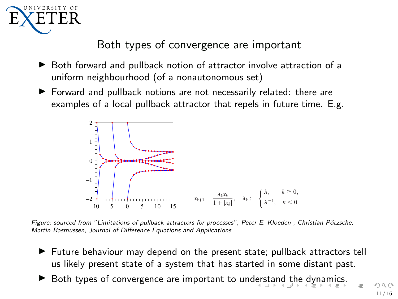<span id="page-10-0"></span>

# Both types of convergence are important

- ▶ Both forward and pullback notion of attractor involve attraction of a uniform neighbourhood (of a nonautonomous set)
- ▶ Forward and pullback notions are not necessarily related: there are examples of a local pullback attractor that repels in future time. E.g.



Figure: sourced from "Limitations of pullback attractors for processes", Peter E. Kloeden, Christian Pötzsche, Martin Rasmussen, Journal of Difference Equations and Applications

- ▶ Future behaviour may depend on the present state; pullback attractors tell us likely present state of a system that has started in some distant past.
- ▶ Both types of convergence are important to un[ders](#page-9-0)[tan](#page-11-0)[d](#page-9-0) [th](#page-10-0)[e](#page-11-0) [dy](#page-0-0)[na](#page-15-0)[mi](#page-0-0)[cs.](#page-15-0)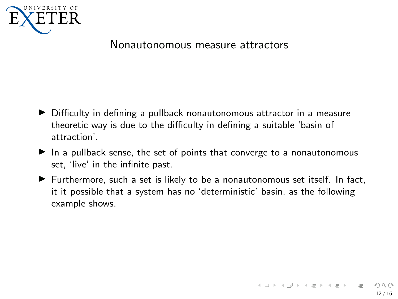<span id="page-11-0"></span>

#### Nonautonomous measure attractors

- ▶ Difficulty in defining a pullback nonautonomous attractor in a measure theoretic way is due to the difficulty in defining a suitable 'basin of attraction'.
- ▶ In a pullback sense, the set of points that converge to a nonautonomous set, 'live' in the infinite past.
- $\blacktriangleright$  Furthermore, such a set is likely to be a nonautonomous set itself. In fact, it it possible that a system has no 'deterministic' basin, as the following example shows.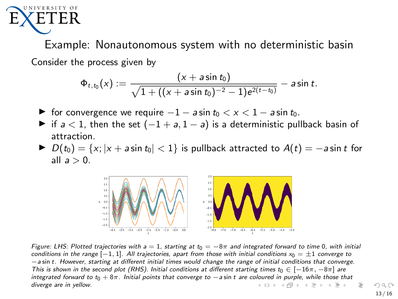<span id="page-12-0"></span>

Example: Nonautonomous system with no deterministic basin Consider the process given by

$$
\Phi_{t,t_0}(x):=\frac{(x+a\sin t_0)}{\sqrt{1+((x+a\sin t_0)^{-2}-1)e^{2(t-t_0)}}}-a\sin t.
$$

- $\triangleright$  for convergence we require  $-1 a \sin t_0 < x < 1 a \sin t_0$ .
- ▶ if  $a < 1$ , then the set  $(-1 + a, 1 a)$  is a deterministic pullback basin of attraction.
- ▶  $D(t_0) = \{x; |x + a \sin t_0| < 1\}$  is pullback attracted to  $A(t) = -a \sin t$  for all  $a > 0$ .



Figure: LHS: Plotted trajectories with a = 1, starting at  $t_0 = -8\pi$  and integrated forward to time 0, with initial conditions in the range  $[-1, 1]$ . All trajectories, apart from those with initial conditions  $x_0 = \pm 1$  converge to −a sin t. However, starting at different initial times would change the range of initial conditions that converge. This is shown in the second plot (RHS). Initial conditions at different starting times t<sub>0</sub> ∈ [-16 $\pi$ , -8 $\pi$ ] are integrated forward to t0 + 8π. Initial points that converge to −a sin t are c[olou](#page-11-0)r[ed i](#page-13-0)[n](#page-11-0) [purp](#page-12-0)[le](#page-13-0)[, wh](#page-0-0)[ile t](#page-15-0)[hose](#page-0-0) [tha](#page-15-0)[t](#page-0-0) diverge are in yellow.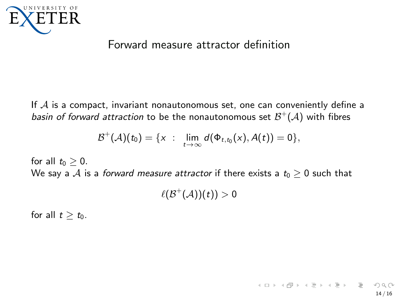<span id="page-13-0"></span>

### Forward measure attractor definition

If  $A$  is a compact, invariant nonautonomous set, one can conveniently define a *basin of forward attraction* to be the nonautonomous set  $\mathcal{B}^{+}(\mathcal{A})$  with fibres

$$
\mathcal{B}^+(\mathcal{A})(t_0) = \{x : \lim_{t \to \infty} d(\Phi_{t,t_0}(x), A(t)) = 0\},\
$$

for all  $t_0 \geq 0$ . We say a A is a forward measure attractor if there exists a  $t_0 \geq 0$  such that

 $\ell(\mathcal{B}^+(\mathcal{A}))(t))>0$ 

for all  $t \geq t_0$ .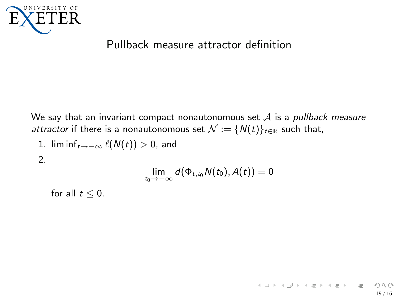

## Pullback measure attractor definition

We say that an invariant compact nonautonomous set  $A$  is a pullback measure attractor if there is a nonautonomous set  $\mathcal{N} := \{N(t)\}_{t \in \mathbb{R}}$  such that,

1. lim inf $_{t\rightarrow-\infty}$   $\ell(N(t))>0$ , and

2.

$$
\lim_{t_0\to-\infty}d(\Phi_{t,t_0}N(t_0),A(t))=0
$$

for all  $t \leq 0$ .